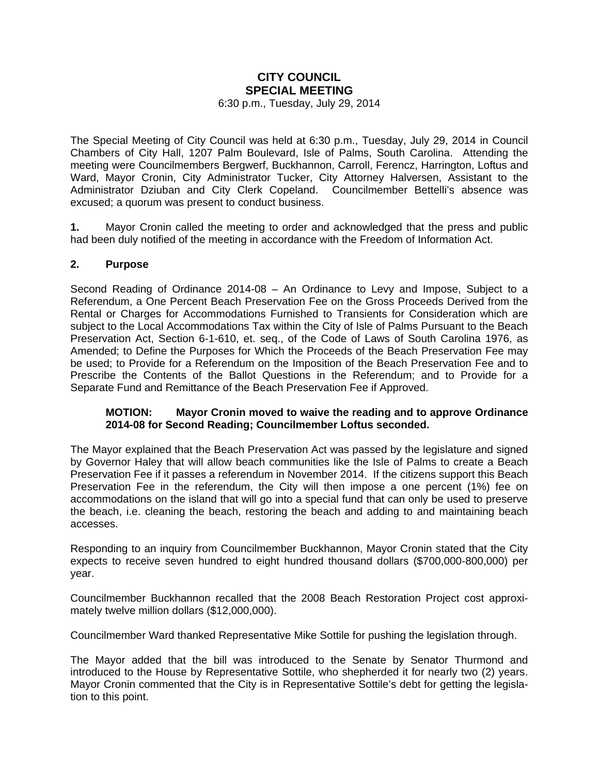## **CITY COUNCIL SPECIAL MEETING**

6:30 p.m., Tuesday, July 29, 2014

The Special Meeting of City Council was held at 6:30 p.m., Tuesday, July 29, 2014 in Council Chambers of City Hall, 1207 Palm Boulevard, Isle of Palms, South Carolina. Attending the meeting were Councilmembers Bergwerf, Buckhannon, Carroll, Ferencz, Harrington, Loftus and Ward, Mayor Cronin, City Administrator Tucker, City Attorney Halversen, Assistant to the Administrator Dziuban and City Clerk Copeland. Councilmember Bettelli's absence was excused; a quorum was present to conduct business.

**1.** Mayor Cronin called the meeting to order and acknowledged that the press and public had been duly notified of the meeting in accordance with the Freedom of Information Act.

## **2. Purpose**

Second Reading of Ordinance 2014-08 – An Ordinance to Levy and Impose, Subject to a Referendum, a One Percent Beach Preservation Fee on the Gross Proceeds Derived from the Rental or Charges for Accommodations Furnished to Transients for Consideration which are subject to the Local Accommodations Tax within the City of Isle of Palms Pursuant to the Beach Preservation Act, Section 6-1-610, et. seq., of the Code of Laws of South Carolina 1976, as Amended; to Define the Purposes for Which the Proceeds of the Beach Preservation Fee may be used; to Provide for a Referendum on the Imposition of the Beach Preservation Fee and to Prescribe the Contents of the Ballot Questions in the Referendum; and to Provide for a Separate Fund and Remittance of the Beach Preservation Fee if Approved.

## **MOTION: Mayor Cronin moved to waive the reading and to approve Ordinance 2014-08 for Second Reading; Councilmember Loftus seconded.**

The Mayor explained that the Beach Preservation Act was passed by the legislature and signed by Governor Haley that will allow beach communities like the Isle of Palms to create a Beach Preservation Fee if it passes a referendum in November 2014. If the citizens support this Beach Preservation Fee in the referendum, the City will then impose a one percent (1%) fee on accommodations on the island that will go into a special fund that can only be used to preserve the beach, i.e. cleaning the beach, restoring the beach and adding to and maintaining beach accesses.

Responding to an inquiry from Councilmember Buckhannon, Mayor Cronin stated that the City expects to receive seven hundred to eight hundred thousand dollars (\$700,000-800,000) per year.

Councilmember Buckhannon recalled that the 2008 Beach Restoration Project cost approximately twelve million dollars (\$12,000,000).

Councilmember Ward thanked Representative Mike Sottile for pushing the legislation through.

The Mayor added that the bill was introduced to the Senate by Senator Thurmond and introduced to the House by Representative Sottile, who shepherded it for nearly two (2) years. Mayor Cronin commented that the City is in Representative Sottile's debt for getting the legislation to this point.